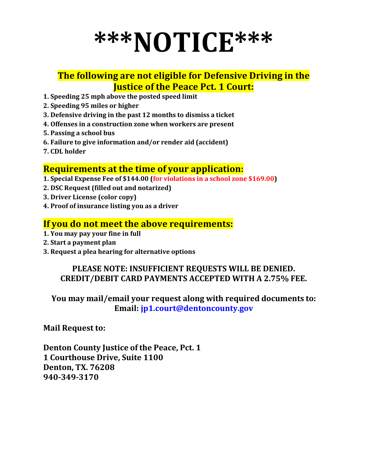# **\*\*\*NOTICE\*\*\***

### **The following are not eligible for Defensive Driving in the Justice of the Peace Pct. 1 Court:**

- **1. Speeding 25 mph above the posted speed limit**
- **2. Speeding 95 miles or higher**
- **3. Defensive driving in the past 12 months to dismiss a ticket**
- **4. Offenses in a construction zone when workers are present**
- **5. Passing a school bus**
- **6. Failure to give information and/or render aid (accident)**
- **7. CDL holder**

#### **Requirements at the time of your application:**

- **1. Special Expense Fee of \$144.00 (for violations in a school zone \$169.00)**
- **2. DSC Request (filled out and notarized)**
- **3. Driver License (color copy)**
- **4. Proof of insurance listing you as a driver**

#### **If you do not meet the above requirements:**

- **1. You may pay your fine in full**
- **2. Start a payment plan**
- **3. Request a plea hearing for alternative options**

#### **PLEASE NOTE: INSUFFICIENT REQUESTS WILL BE DENIED. CREDIT/DEBIT CARD PAYMENTS ACCEPTED WITH A 2.75% FEE.**

**You may mail/email your request along with required documents to: Email: [jp1.court@dentoncounty.gov](mailto:jp1.court@dentoncounty.gov)**

**Mail Request to:**

**Denton County Justice of the Peace, Pct. 1 1 Courthouse Drive, Suite 1100 Denton, TX. 76208 940-349-3170**